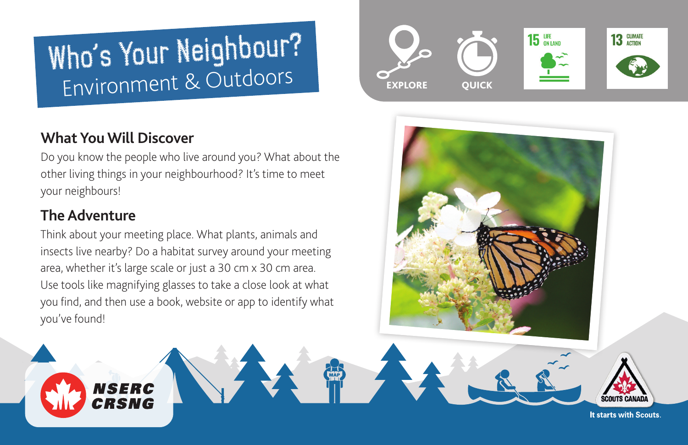# Who's Your Neighbour? Environment & Outdoors

## **What You Will Discover**

**NSERC** CRSNG

Do you know the people who live around you? What about the other living things in your neighbourhood? It's time to meet your neighbours!

### **The Adventure**

Think about your meeting place. What plants, animals and insects live nearby? Do a habitat survey around your meeting area, whether it's large scale or just a 30 cm x 30 cm area. Use tools like magnifying glasses to take a close look at what you find, and then use a book, website or app to identify what you've found!





It starts with Scouts.